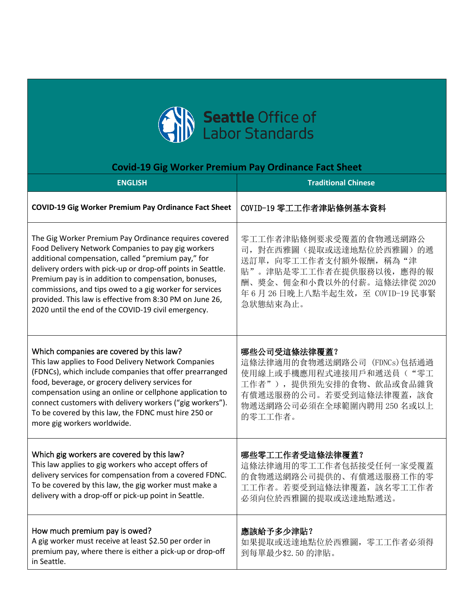

## **Covid-19 Gig Worker Premium Pay Ordinance Fact Sheet**

| <b>ENGLISH</b>                                                                                                                                                                                                                                                                                                                                                                                                                                                         | <b>Traditional Chinese</b>                                                                                                                                                            |
|------------------------------------------------------------------------------------------------------------------------------------------------------------------------------------------------------------------------------------------------------------------------------------------------------------------------------------------------------------------------------------------------------------------------------------------------------------------------|---------------------------------------------------------------------------------------------------------------------------------------------------------------------------------------|
| <b>COVID-19 Gig Worker Premium Pay Ordinance Fact Sheet</b>                                                                                                                                                                                                                                                                                                                                                                                                            | COVID-19 零工工作者津貼條例基本資料                                                                                                                                                                |
| The Gig Worker Premium Pay Ordinance requires covered<br>Food Delivery Network Companies to pay gig workers<br>additional compensation, called "premium pay," for<br>delivery orders with pick-up or drop-off points in Seattle.<br>Premium pay is in addition to compensation, bonuses,<br>commissions, and tips owed to a gig worker for services<br>provided. This law is effective from 8:30 PM on June 26,<br>2020 until the end of the COVID-19 civil emergency. | 零工工作者津貼條例要求受覆蓋的食物遞送網路公<br>司, 對在西雅圖(提取或送達地點位於西雅圖)的遞<br>送訂單, 向零工工作者支付額外報酬, 稱為"津<br>貼"。津貼是零工工作者在提供服務以後, 應得的報<br>酬、獎金、佣金和小費以外的付薪。這條法律從 2020<br>年6月26日晚上八點半起生效, 至 COVID-19 民事緊<br>急狀態結束為止。 |
| Which companies are covered by this law?<br>This law applies to Food Delivery Network Companies<br>(FDNCs), which include companies that offer prearranged<br>food, beverage, or grocery delivery services for<br>compensation using an online or cellphone application to<br>connect customers with delivery workers ("gig workers").<br>To be covered by this law, the FDNC must hire 250 or<br>more gig workers worldwide.                                          | 哪些公司受這條法律覆蓋?<br>這條法律適用的食物遞送網路公司 (FDNCs)包括通過<br>使用線上或手機應用程式連接用戶和遞送員("零工<br>工作者"), 提供預先安排的食物、飲品或食品雜貨<br>有償遞送服務的公司。若要受到這條法律覆蓋,該食<br>物遞送網路公司必須在全球範圍內聘用 250 名或以上<br>的零工工作者。                |
| Which gig workers are covered by this law?<br>This law applies to gig workers who accept offers of<br>delivery services for compensation from a covered FDNC.<br>To be covered by this law, the gig worker must make a<br>delivery with a drop-off or pick-up point in Seattle.                                                                                                                                                                                        | 哪些零工工作者受這條法律覆蓋?<br>這條法律適用的零工工作者包括接受任何一家受覆蓋<br>的食物遞送網路公司提供的、有償遞送服務工作的零<br>工工作者。若要受到這條法律覆蓋,該名零工工作者<br>必須向位於西雅圖的提取或送達地點遞送。                                                               |
| How much premium pay is owed?<br>A gig worker must receive at least \$2.50 per order in<br>premium pay, where there is either a pick-up or drop-off<br>in Seattle.                                                                                                                                                                                                                                                                                                     | 應該給予多少津貼?<br>如果提取或送達地點位於西雅圖, 零工工作者必須得<br>到每單最少\$2.50的津貼。                                                                                                                              |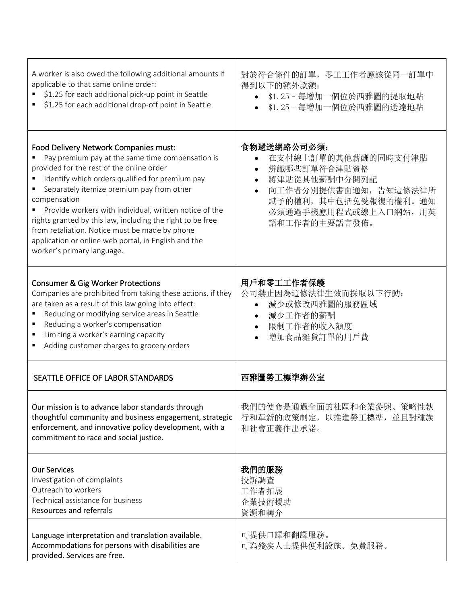| A worker is also owed the following additional amounts if<br>applicable to that same online order:<br>\$1.25 for each additional pick-up point in Seattle<br>\$1.25 for each additional drop-off point in Seattle                                                                                                                                                                                                                                                                                                      | 對於符合條件的訂單, 零工工作者應該從同一訂單中<br>得到以下的額外款額:<br>\$1.25-每增加一個位於西雅圖的提取地點<br>\$1.25-每增加一個位於西雅圖的送達地點                                                                                  |
|------------------------------------------------------------------------------------------------------------------------------------------------------------------------------------------------------------------------------------------------------------------------------------------------------------------------------------------------------------------------------------------------------------------------------------------------------------------------------------------------------------------------|-----------------------------------------------------------------------------------------------------------------------------------------------------------------------------|
| Food Delivery Network Companies must:<br>Pay premium pay at the same time compensation is<br>provided for the rest of the online order<br>Identify which orders qualified for premium pay<br>Separately itemize premium pay from other<br>compensation<br>Provide workers with individual, written notice of the<br>rights granted by this law, including the right to be free<br>from retaliation. Notice must be made by phone<br>application or online web portal, in English and the<br>worker's primary language. | 食物遞送網路公司必須:<br>在支付線上訂單的其他薪酬的同時支付津貼<br>辨識哪些訂單符合津貼資格<br>將津貼從其他薪酬中分開列記<br>向工作者分別提供書面通知, 告知這條法律所<br>$\bullet$<br>賦予的權利,其中包括免受報復的權利。通知<br>必須通過手機應用程式或線上入口網站, 用英<br>語和工作者的主要語言發佈。 |
| <b>Consumer &amp; Gig Worker Protections</b><br>Companies are prohibited from taking these actions, if they<br>are taken as a result of this law going into effect:<br>Reducing or modifying service areas in Seattle<br>Reducing a worker's compensation<br>Limiting a worker's earning capacity<br>Adding customer charges to grocery orders                                                                                                                                                                         | 用戶和零工工作者保護<br>公司禁止因為這條法律生效而採取以下行動:<br>減少或修改西雅圖的服務區域<br>減少工作者的薪酬<br>限制工作者的收入額度<br>$\bullet$<br>增加食品雜貨訂單的用戶費                                                                  |
| SEATTLE OFFICE OF LABOR STANDARDS                                                                                                                                                                                                                                                                                                                                                                                                                                                                                      | 西雅圖勞工標準辦公室                                                                                                                                                                  |
| Our mission is to advance labor standards through<br>thoughtful community and business engagement, strategic<br>enforcement, and innovative policy development, with a<br>commitment to race and social justice.                                                                                                                                                                                                                                                                                                       | 我們的使命是通過全面的社區和企業參與、策略性執<br>行和革新的政策制定, 以推進勞工標準, 並且對種族<br>和社會正義作出承諾。                                                                                                          |
| <b>Our Services</b><br>Investigation of complaints<br>Outreach to workers<br>Technical assistance for business<br>Resources and referrals                                                                                                                                                                                                                                                                                                                                                                              | 我們的服務<br>投訴調查<br>工作者拓展<br>企業技術援助<br>資源和轉介                                                                                                                                   |
| Language interpretation and translation available.<br>Accommodations for persons with disabilities are<br>provided. Services are free.                                                                                                                                                                                                                                                                                                                                                                                 | 可提供口譯和翻譯服務。<br>可為殘疾人士提供便利設施。免費服務。                                                                                                                                           |